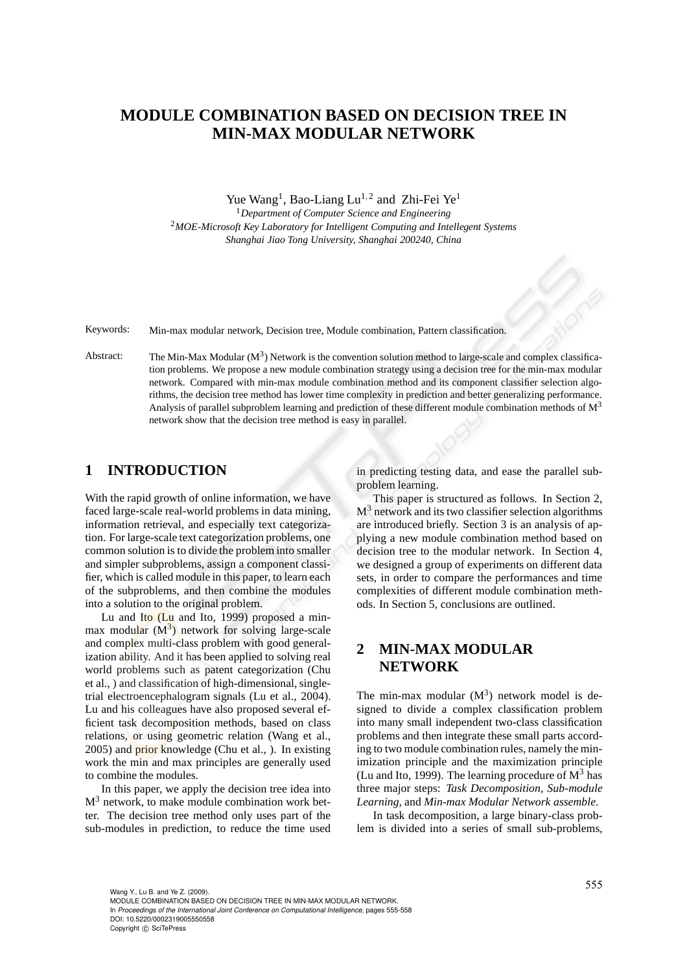# **MODULE COMBINATION BASED ON DECISION TREE IN MIN-MAX MODULAR NETWORK**

Yue Wang<sup>1</sup>, Bao-Liang Lu<sup>1,2</sup> and Zhi-Fei Ye<sup>1</sup>

<sup>1</sup>*Department of Computer Science and Engineering* <sup>2</sup>*MOE-Microsoft Key Laboratory for Intelligent Computing and Intellegent Systems Shanghai Jiao Tong University, Shanghai 200240, China*

Keywords: Min-max modular network, Decision tree, Module combination, Pattern classification.

Abstract: The Min-Max Modular  $(M^3)$  Network is the convention solution method to large-scale and complex classification problems. We propose a new module combination strategy using a decision tree for the min-max modular network. Compared with min-max module combination method and its component classifier selection algorithms, the decision tree method has lower time complexity in prediction and better generalizing performance. Analysis of parallel subproblem learning and prediction of these different module combination methods of  $M<sup>3</sup>$ network show that the decision tree method is easy in parallel.

### **1 INTRODUCTION**

With the rapid growth of online information, we have faced large-scale real-world problems in data mining, information retrieval, and especially text categorization. For large-scale text categorization problems, one common solution is to divide the problem into smaller and simpler subproblems, assign a component classifier, which is called module in this paper, to learn each of the subproblems, and then combine the modules into a solution to the original problem.

Lu and Ito (Lu and Ito, 1999) proposed a minmax modular  $(M^3)$  network for solving large-scale and complex multi-class problem with good generalization ability. And it has been applied to solving real world problems such as patent categorization (Chu et al., ) and classification of high-dimensional, singletrial electroencephalogram signals (Lu et al., 2004). Lu and his colleagues have also proposed several efficient task decomposition methods, based on class relations, or using geometric relation (Wang et al., 2005) and prior knowledge (Chu et al., ). In existing work the min and max principles are generally used to combine the modules.

In this paper, we apply the decision tree idea into M<sup>3</sup> network, to make module combination work better. The decision tree method only uses part of the sub-modules in prediction, to reduce the time used in predicting testing data, and ease the parallel subproblem learning.

This paper is structured as follows. In Section 2,  $M<sup>3</sup>$  network and its two classifier selection algorithms are introduced briefly. Section 3 is an analysis of applying a new module combination method based on decision tree to the modular network. In Section 4, we designed a group of experiments on different data sets, in order to compare the performances and time complexities of different module combination methods. In Section 5, conclusions are outlined.

## **2 MIN-MAX MODULAR NETWORK**

The min-max modular  $(M^3)$  network model is designed to divide a complex classification problem into many small independent two-class classification problems and then integrate these small parts according to two module combination rules, namely the minimization principle and the maximization principle (Lu and Ito, 1999). The learning procedure of  $M^3$  has three major steps: *Task Decomposition, Sub-module Learning,* and *Min-max Modular Network assemble*.

In task decomposition, a large binary-class problem is divided into a series of small sub-problems,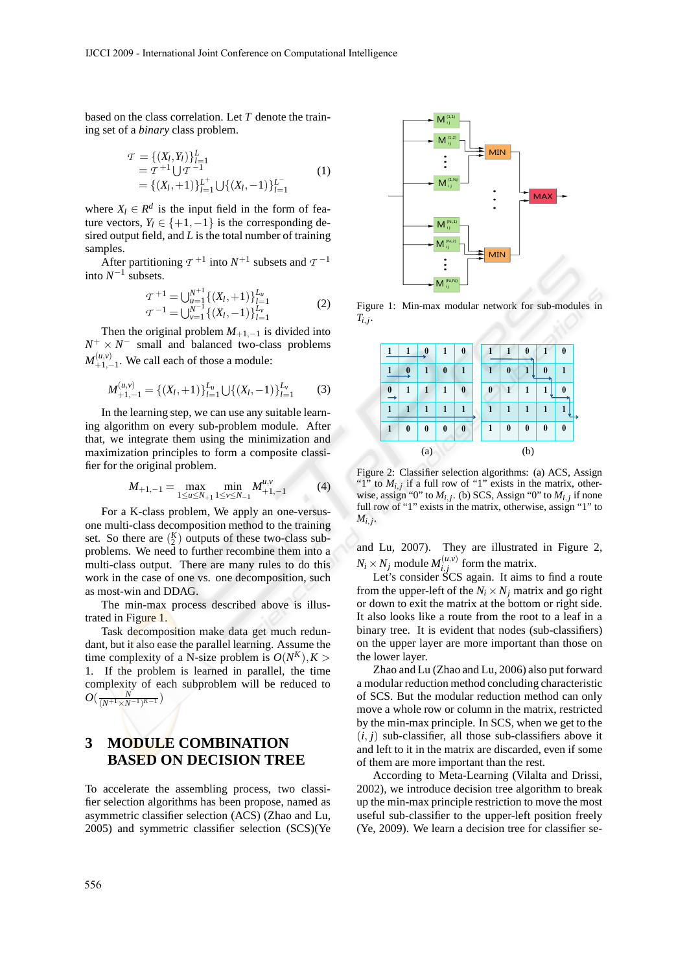based on the class correlation. Let *T* denote the training set of a *binary* class problem.

$$
T = \{ (X_l, Y_l) \}_{l=1}^L
$$
  
=  $T^{+1} \bigcup T^{-1}$   
= { $(X_l, +1)$ } $L^{+}_{l=1}$   $\bigcup \{ (X_l, -1) \}_{l=1}^{L^{-}}$  (1)

where  $X_l \in \mathbb{R}^d$  is the input field in the form of feature vectors,  $Y_l \in \{+1, -1\}$  is the corresponding desired output field, and *L* is the total number of training samples.

After partitioning  $\tau^{+1}$  into  $N^{+1}$  subsets and  $\tau^{-1}$ into  $N^{-1}$  subsets.

$$
\begin{aligned} \mathcal{T}^{+1} &= \bigcup_{u=1}^{N^{+1}} \{ (X_l, +1) \}_{l=1}^{L_u} \\ \mathcal{T}^{-1} &= \bigcup_{\nu=1}^{N^{-1}} \{ (X_l, -1) \}_{l=1}^{L_\nu} \end{aligned} \tag{2}
$$

Then the original problem  $M_{+1,-1}$  is divided into  $N^+ \times N^-$  small and balanced two-class problems  $M^{(u,v)}_{+1}$  $\binom{(u,v)}{+1,-1}$ . We call each of those a module:

$$
M_{+1,-1}^{(u,v)} = \{(X_l,+1)\}_{l=1}^{L_u} \bigcup \{(X_l,-1)\}_{l=1}^{L_v}
$$
 (3)

In the learning step, we can use any suitable learning algorithm on every sub-problem module. After that, we integrate them using the minimization and maximization principles to form a composite classifier for the original problem.

$$
M_{+1,-1} = \max_{1 \le u \le N_{+1}} \min_{1 \le v \le N_{-1}} M_{+1,-1}^{u,v}
$$
 (4)

For a K-class problem, We apply an one-versusone multi-class decomposition method to the training set. So there are  $\binom{K}{2}$  outputs of these two-class subproblems. We need to further recombine them into a multi-class output. There are many rules to do this work in the case of one vs. one decomposition, such as most-win and DDAG.

The min-max process described above is illustrated in Figure 1.

Task decomposition make data get much redundant, but it also ease the parallel learning. Assume the time complexity of a N-size problem is  $O(N^K)$ ,  $K >$ 1. If the problem is learned in parallel, the time complexity of each subproblem will be reduced to  $O(\frac{N}{(N+1) \times N-1)K-1})$ 

## **3 MODULE COMBINATION BASED ON DECISION TREE**

To accelerate the assembling process, two classifier selection algorithms has been propose, named as asymmetric classifier selection (ACS) (Zhao and Lu, 2005) and symmetric classifier selection (SCS)(Ye



Figure 1: Min-max modular network for sub-modules in  $T_{i,j}$ .

|          | 1        | $\bf{0}$ | 1        | $\boldsymbol{0}$ | ı        |          | 0            |          | $\bf{0}$ |
|----------|----------|----------|----------|------------------|----------|----------|--------------|----------|----------|
|          | 0        | 1        | $\bf{0}$ | $\mathbf{1}$     | 1        | $\bf{0}$ | 1            | $\bf{0}$ | 1        |
| $\bf{0}$ | 1        | 1        | 1        | $\bf{0}$         | $\bf{0}$ | 1        | 1            | 1        | 0        |
|          | 1        | 1        | 1        | 1                | 1        | 1        | $\mathbf{1}$ | 1        | 1        |
|          | $\bf{0}$ | $\bf{0}$ | 0        | $\mathbf{0}$     | 1        | $\bf{0}$ | $\bf{0}$     | $\bf{0}$ | $\bf{0}$ |
| (a)      |          |          |          |                  | (b)      |          |              |          |          |

Figure 2: Classifier selection algorithms: (a) ACS, Assign "1" to  $M_{i,j}$  if a full row of "1" exists in the matrix, otherwise, assign "0" to  $M_{i,j}$ . (b) SCS, Assign "0" to  $M_{i,j}$  if none full row of "1" exists in the matrix, otherwise, assign "1" to  $M_{i,j}$ .

and Lu, 2007). They are illustrated in Figure 2,  $N_i \times N_j$  module  $M_{i,j}^{(u,v)}$  $i,j$  form the matrix.

Let's consider SCS again. It aims to find a route from the upper-left of the  $N_i \times N_j$  matrix and go right or down to exit the matrix at the bottom or right side. It also looks like a route from the root to a leaf in a binary tree. It is evident that nodes (sub-classifiers) on the upper layer are more important than those on the lower layer.

Zhao and Lu (Zhao and Lu, 2006) also put forward a modular reduction method concluding characteristic of SCS. But the modular reduction method can only move a whole row or column in the matrix, restricted by the min-max principle. In SCS, when we get to the  $(i, j)$  sub-classifier, all those sub-classifiers above it and left to it in the matrix are discarded, even if some of them are more important than the rest.

According to Meta-Learning (Vilalta and Drissi, 2002), we introduce decision tree algorithm to break up the min-max principle restriction to move the most useful sub-classifier to the upper-left position freely (Ye, 2009). We learn a decision tree for classifier se-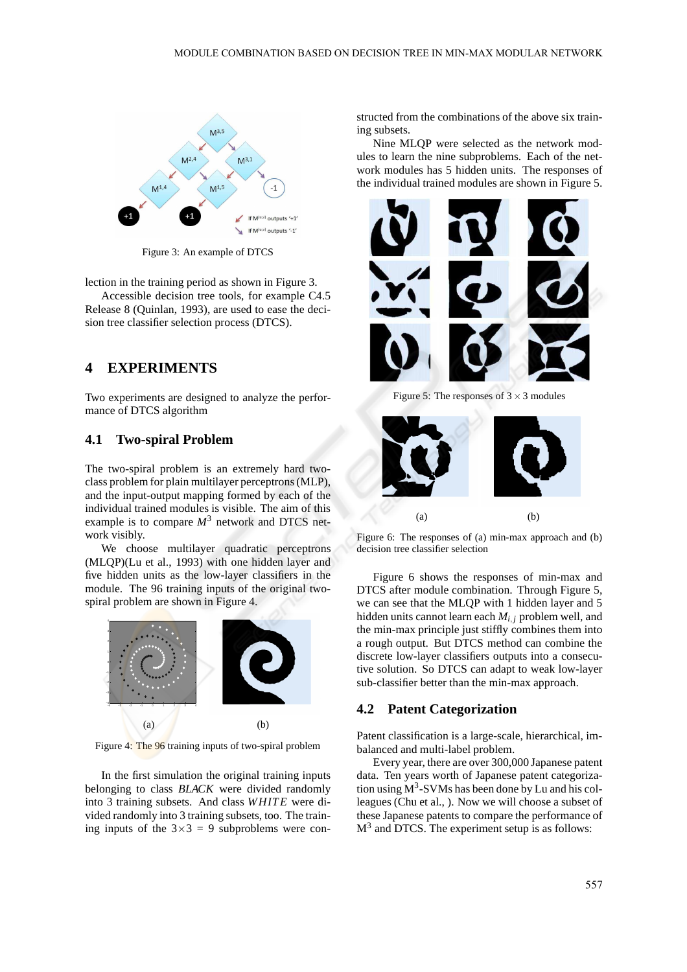

Figure 3: An example of DTCS

lection in the training period as shown in Figure 3.

Accessible decision tree tools, for example C4.5 Release 8 (Quinlan, 1993), are used to ease the decision tree classifier selection process (DTCS).

## **4 EXPERIMENTS**

Two experiments are designed to analyze the performance of DTCS algorithm

#### **4.1 Two-spiral Problem**

The two-spiral problem is an extremely hard twoclass problem for plain multilayer perceptrons (MLP), and the input-output mapping formed by each of the individual trained modules is visible. The aim of this example is to compare  $M<sup>3</sup>$  network and DTCS network visibly.

We choose multilayer quadratic perceptrons (MLQP)(Lu et al., 1993) with one hidden layer and five hidden units as the low-layer classifiers in the module. The 96 training inputs of the original twospiral problem are shown in Figure 4.



Figure 4: The 96 training inputs of two-spiral problem

In the first simulation the original training inputs belonging to class *BLACK* were divided randomly into 3 training subsets. And class *WHITE* were divided randomly into 3 training subsets, too. The training inputs of the  $3\times3 = 9$  subproblems were con-

structed from the combinations of the above six training subsets.

Nine MLQP were selected as the network modules to learn the nine subproblems. Each of the network modules has 5 hidden units. The responses of the individual trained modules are shown in Figure 5.



Figure 5: The responses of  $3 \times 3$  modules



Figure 6: The responses of (a) min-max approach and (b) decision tree classifier selection

Figure 6 shows the responses of min-max and DTCS after module combination. Through Figure 5, we can see that the MLQP with 1 hidden layer and 5 hidden units cannot learn each *Mi*, *<sup>j</sup>* problem well, and the min-max principle just stiffly combines them into a rough output. But DTCS method can combine the discrete low-layer classifiers outputs into a consecutive solution. So DTCS can adapt to weak low-layer sub-classifier better than the min-max approach.

#### **4.2 Patent Categorization**

Patent classification is a large-scale, hierarchical, imbalanced and multi-label problem.

Every year, there are over 300,000 Japanese patent data. Ten years worth of Japanese patent categorization using  $M^3$ -SVMs has been done by Lu and his colleagues (Chu et al., ). Now we will choose a subset of these Japanese patents to compare the performance of  $M<sup>3</sup>$  and DTCS. The experiment setup is as follows: